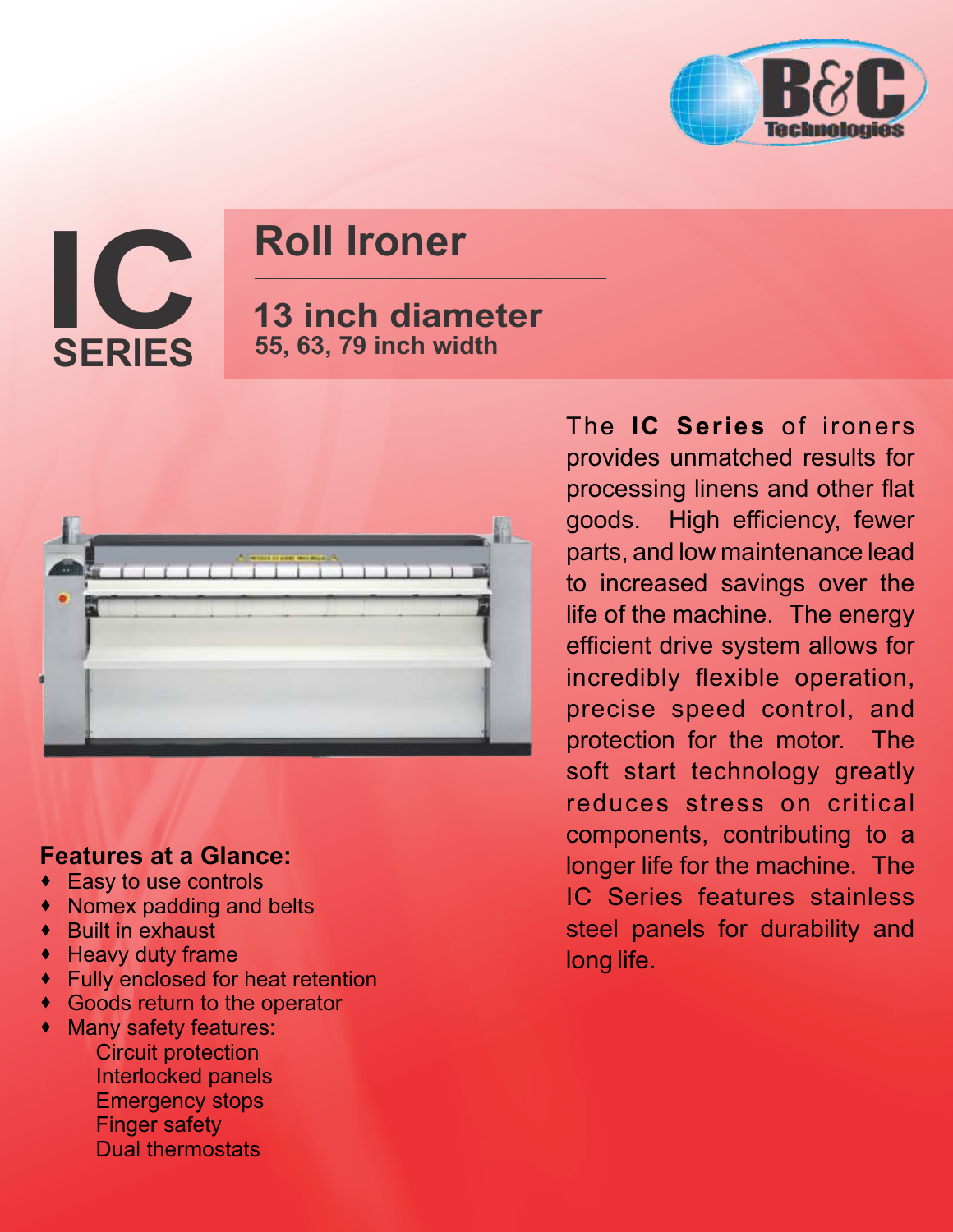

# **IC SERIES**

### **Roll Ironer**

#### **13 inch diameter 55, 63, 79 inch width**



#### **Features at a Glance:**

- · Easy to use controls
- · Nomex padding and belts
- · Built in exhaust
- · Heavy duty frame
- · Fully enclosed for heat retention
- · Goods return to the operator
- · Many safety features:

Circuit protection Interlocked panels Emergency stops Finger safety Dual thermostats

The **IC Series** of ironers provides unmatched results for processing linens and other flat goods. High efficiency, fewer parts, and low maintenance lead to increased savings over the life of the machine. The energy efficient drive system allows for incredibly flexible operation, precise speed control, and protection for the motor. The soft start technology greatly reduces stress on critical components, contributing to a longer life for the machine. The IC Series features stainless steel panels for durability and long life.